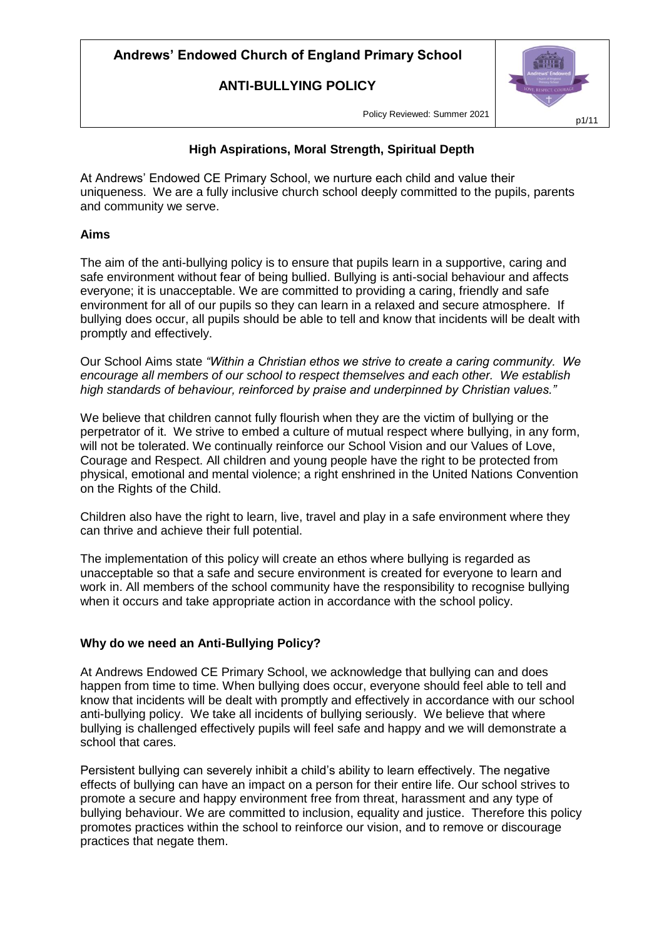**ANTI-BULLYING POLICY**



Policy Reviewed: Summer 2021

### **High Aspirations, Moral Strength, Spiritual Depth**

At Andrews' Endowed CE Primary School, we nurture each child and value their uniqueness. We are a fully inclusive church school deeply committed to the pupils, parents and community we serve.

### **Aims**

The aim of the anti-bullying policy is to ensure that pupils learn in a supportive, caring and safe environment without fear of being bullied. Bullying is anti-social behaviour and affects everyone; it is unacceptable. We are committed to providing a caring, friendly and safe environment for all of our pupils so they can learn in a relaxed and secure atmosphere. If bullying does occur, all pupils should be able to tell and know that incidents will be dealt with promptly and effectively.

Our School Aims state *"Within a Christian ethos we strive to create a caring community. We encourage all members of our school to respect themselves and each other. We establish high standards of behaviour, reinforced by praise and underpinned by Christian values."*

We believe that children cannot fully flourish when they are the victim of bullying or the perpetrator of it. We strive to embed a culture of mutual respect where bullying, in any form, will not be tolerated. We continually reinforce our School Vision and our Values of Love, Courage and Respect. All children and young people have the right to be protected from physical, emotional and mental violence; a right enshrined in the United Nations Convention on the Rights of the Child.

Children also have the right to learn, live, travel and play in a safe environment where they can thrive and achieve their full potential.

The implementation of this policy will create an ethos where bullying is regarded as unacceptable so that a safe and secure environment is created for everyone to learn and work in. All members of the school community have the responsibility to recognise bullying when it occurs and take appropriate action in accordance with the school policy.

#### **Why do we need an Anti-Bullying Policy?**

At Andrews Endowed CE Primary School, we acknowledge that bullying can and does happen from time to time. When bullying does occur, everyone should feel able to tell and know that incidents will be dealt with promptly and effectively in accordance with our school anti-bullying policy. We take all incidents of bullying seriously. We believe that where bullying is challenged effectively pupils will feel safe and happy and we will demonstrate a school that cares.

Persistent bullying can severely inhibit a child's ability to learn effectively. The negative effects of bullying can have an impact on a person for their entire life. Our school strives to promote a secure and happy environment free from threat, harassment and any type of bullying behaviour. We are committed to inclusion, equality and justice. Therefore this policy promotes practices within the school to reinforce our vision, and to remove or discourage practices that negate them.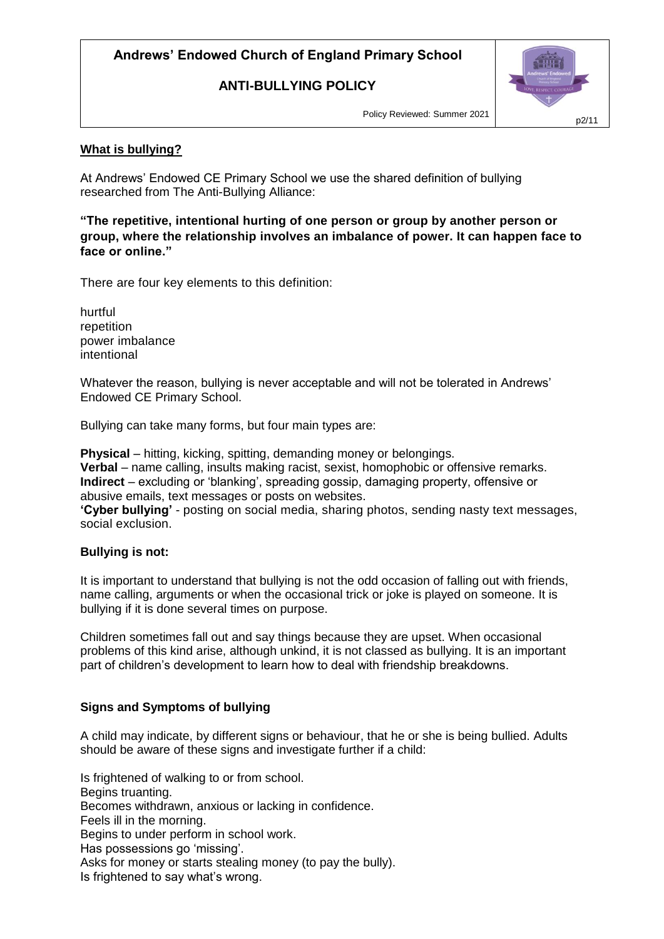### **ANTI-BULLYING POLICY**



Policy Reviewed: Summer 2021

#### **What is bullying?**

At Andrews' Endowed CE Primary School we use the shared definition of bullying researched from The Anti-Bullying Alliance:

**"The repetitive, intentional hurting of one person or group by another person or group, where the relationship involves an imbalance of power. It can happen face to face or online."**

There are four key elements to this definition:

hurtful repetition power imbalance intentional

Whatever the reason, bullying is never acceptable and will not be tolerated in Andrews' Endowed CE Primary School.

Bullying can take many forms, but four main types are:

**Physical** – hitting, kicking, spitting, demanding money or belongings. **Verbal** – name calling, insults making racist, sexist, homophobic or offensive remarks. **Indirect** – excluding or 'blanking', spreading gossip, damaging property, offensive or abusive emails, text messages or posts on websites.

**'Cyber bullying'** - posting on social media, sharing photos, sending nasty text messages, social exclusion.

#### **Bullying is not:**

It is important to understand that bullying is not the odd occasion of falling out with friends, name calling, arguments or when the occasional trick or joke is played on someone. It is bullying if it is done several times on purpose.

Children sometimes fall out and say things because they are upset. When occasional problems of this kind arise, although unkind, it is not classed as bullying. It is an important part of children's development to learn how to deal with friendship breakdowns.

#### **Signs and Symptoms of bullying**

A child may indicate, by different signs or behaviour, that he or she is being bullied. Adults should be aware of these signs and investigate further if a child:

Is frightened of walking to or from school. Begins truanting. Becomes withdrawn, anxious or lacking in confidence. Feels ill in the morning. Begins to under perform in school work. Has possessions go 'missing'. Asks for money or starts stealing money (to pay the bully). Is frightened to say what's wrong.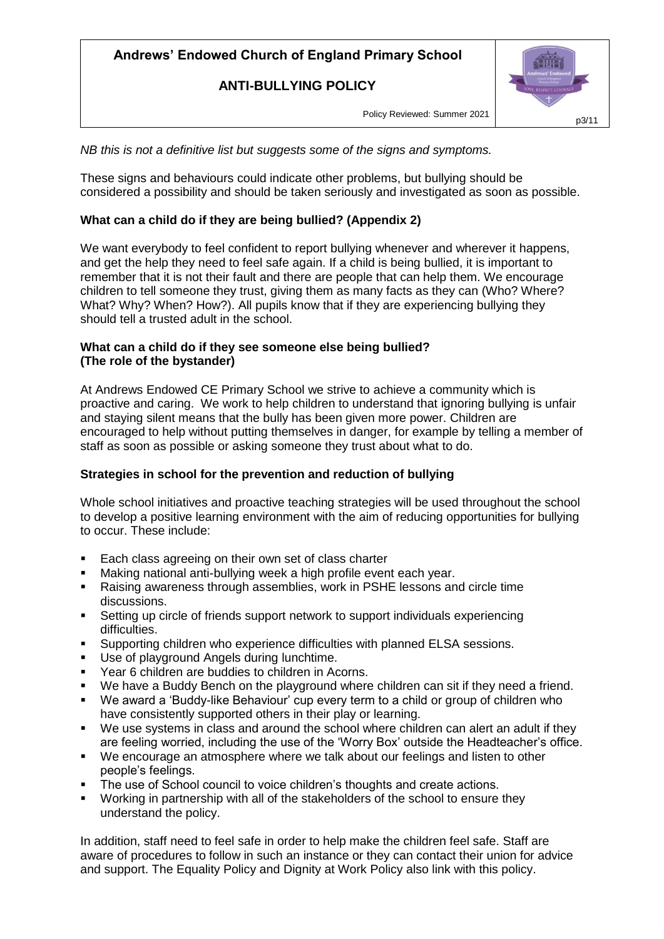**ANTI-BULLYING POLICY**

Policy Reviewed: Summer 2021

*NB this is not a definitive list but suggests some of the signs and symptoms.*

These signs and behaviours could indicate other problems, but bullying should be considered a possibility and should be taken seriously and investigated as soon as possible.

### **What can a child do if they are being bullied? (Appendix 2)**

We want everybody to feel confident to report bullying whenever and wherever it happens, and get the help they need to feel safe again. If a child is being bullied, it is important to remember that it is not their fault and there are people that can help them. We encourage children to tell someone they trust, giving them as many facts as they can (Who? Where? What? Why? When? How?). All pupils know that if they are experiencing bullying they should tell a trusted adult in the school.

#### **What can a child do if they see someone else being bullied? (The role of the bystander)**

At Andrews Endowed CE Primary School we strive to achieve a community which is proactive and caring. We work to help children to understand that ignoring bullying is unfair and staying silent means that the bully has been given more power. Children are encouraged to help without putting themselves in danger, for example by telling a member of staff as soon as possible or asking someone they trust about what to do.

### **Strategies in school for the prevention and reduction of bullying**

Whole school initiatives and proactive teaching strategies will be used throughout the school to develop a positive learning environment with the aim of reducing opportunities for bullying to occur. These include:

- **Each class agreeing on their own set of class charter**
- Making national anti-bullying week a high profile event each year.
- Raising awareness through assemblies, work in PSHE lessons and circle time discussions.
- Setting up circle of friends support network to support individuals experiencing difficulties.
- Supporting children who experience difficulties with planned ELSA sessions.<br>Use of playground Angels during lunchtime.
- Use of playground Angels during lunchtime.
- Year 6 children are buddies to children in Acorns.
- We have a Buddy Bench on the playground where children can sit if they need a friend.
- We award a 'Buddy-like Behaviour' cup every term to a child or group of children who have consistently supported others in their play or learning.
- We use systems in class and around the school where children can alert an adult if they are feeling worried, including the use of the 'Worry Box' outside the Headteacher's office.
- We encourage an atmosphere where we talk about our feelings and listen to other people's feelings.
- The use of School council to voice children's thoughts and create actions.
- Working in partnership with all of the stakeholders of the school to ensure they understand the policy.

In addition, staff need to feel safe in order to help make the children feel safe. Staff are aware of procedures to follow in such an instance or they can contact their union for advice and support. The Equality Policy and Dignity at Work Policy also link with this policy.

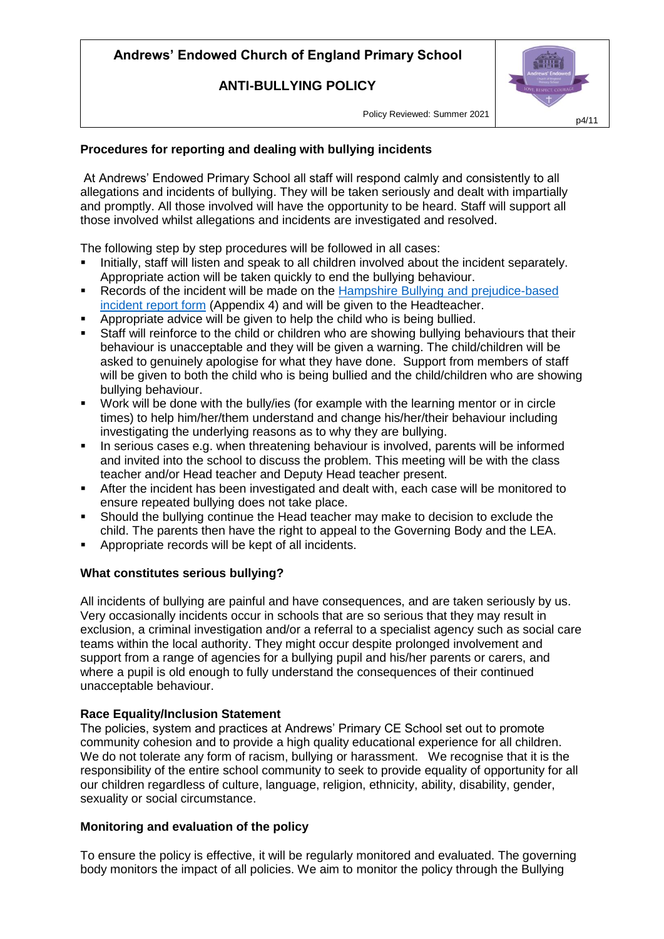**ANTI-BULLYING POLICY**

Policy Reviewed: Summer 2021

### **Procedures for reporting and dealing with bullying incidents**

At Andrews' Endowed Primary School all staff will respond calmly and consistently to all allegations and incidents of bullying. They will be taken seriously and dealt with impartially and promptly. All those involved will have the opportunity to be heard. Staff will support all those involved whilst allegations and incidents are investigated and resolved.

The following step by step procedures will be followed in all cases:

- Initially, staff will listen and speak to all children involved about the incident separately. Appropriate action will be taken quickly to end the bullying behaviour.
- **Records of the incident will be made on the Hampshire Bullying and prejudice-based** [incident report form](file:///G:/Shared%20drives/AEP%20Policies%20-%20Staff%20and%20Governors/Hampshire%20Bullying%20and%20Racist%20Incident%20Reporting%20Form.doc) (Appendix 4) and will be given to the Headteacher.
- Appropriate advice will be given to help the child who is being bullied.
- Staff will reinforce to the child or children who are showing bullying behaviours that their behaviour is unacceptable and they will be given a warning. The child/children will be asked to genuinely apologise for what they have done. Support from members of staff will be given to both the child who is being bullied and the child/children who are showing bullying behaviour.
- Work will be done with the bully/ies (for example with the learning mentor or in circle times) to help him/her/them understand and change his/her/their behaviour including investigating the underlying reasons as to why they are bullying.
- In serious cases e.g. when threatening behaviour is involved, parents will be informed and invited into the school to discuss the problem. This meeting will be with the class teacher and/or Head teacher and Deputy Head teacher present.
- After the incident has been investigated and dealt with, each case will be monitored to ensure repeated bullying does not take place.
- Should the bullying continue the Head teacher may make to decision to exclude the child. The parents then have the right to appeal to the Governing Body and the LEA.
- Appropriate records will be kept of all incidents.

### **What constitutes serious bullying?**

All incidents of bullying are painful and have consequences, and are taken seriously by us. Very occasionally incidents occur in schools that are so serious that they may result in exclusion, a criminal investigation and/or a referral to a specialist agency such as social care teams within the local authority. They might occur despite prolonged involvement and support from a range of agencies for a bullying pupil and his/her parents or carers, and where a pupil is old enough to fully understand the consequences of their continued unacceptable behaviour.

### **Race Equality/Inclusion Statement**

The policies, system and practices at Andrews' Primary CE School set out to promote community cohesion and to provide a high quality educational experience for all children. We do not tolerate any form of racism, bullying or harassment. We recognise that it is the responsibility of the entire school community to seek to provide equality of opportunity for all our children regardless of culture, language, religion, ethnicity, ability, disability, gender, sexuality or social circumstance.

### **Monitoring and evaluation of the policy**

To ensure the policy is effective, it will be regularly monitored and evaluated. The governing body monitors the impact of all policies. We aim to monitor the policy through the Bullying

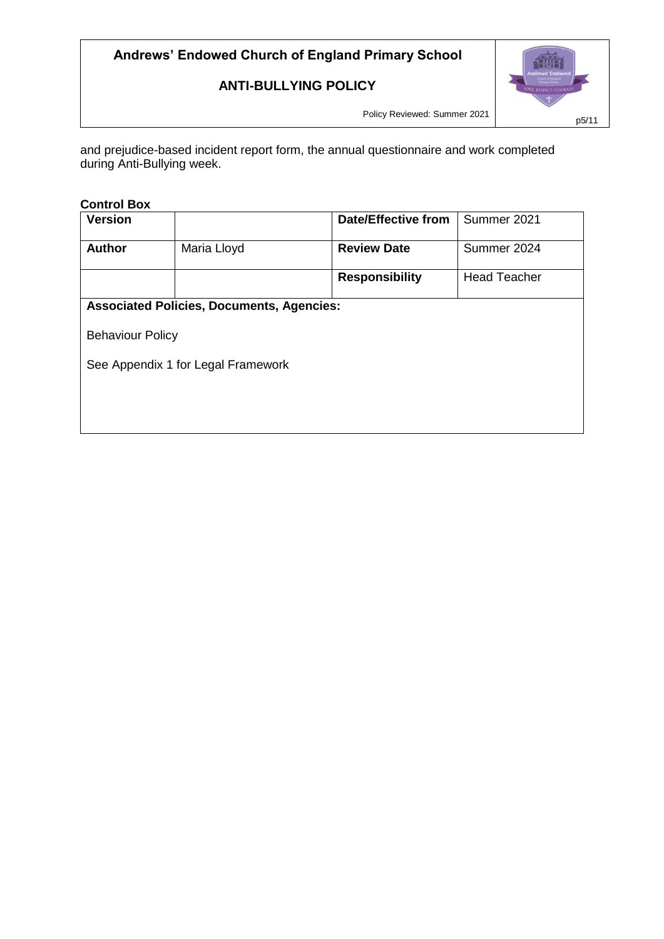### **ANTI-BULLYING POLICY**



Policy Reviewed: Summer 2021

and prejudice-based incident report form, the annual questionnaire and work completed during Anti-Bullying week.

### **Control Box**

| <b>Version</b>                                   |             | <b>Date/Effective from</b> | Summer 2021         |  |  |  |
|--------------------------------------------------|-------------|----------------------------|---------------------|--|--|--|
| <b>Author</b>                                    | Maria Lloyd | <b>Review Date</b>         | Summer 2024         |  |  |  |
|                                                  |             | <b>Responsibility</b>      | <b>Head Teacher</b> |  |  |  |
| <b>Associated Policies, Documents, Agencies:</b> |             |                            |                     |  |  |  |
| <b>Behaviour Policy</b>                          |             |                            |                     |  |  |  |
| See Appendix 1 for Legal Framework               |             |                            |                     |  |  |  |
|                                                  |             |                            |                     |  |  |  |
|                                                  |             |                            |                     |  |  |  |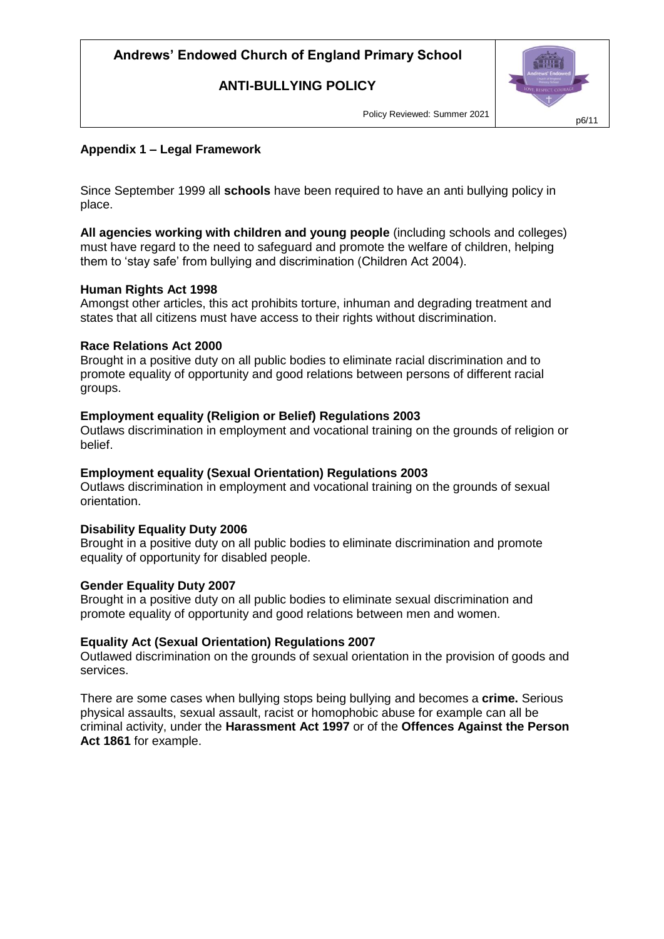**ANTI-BULLYING POLICY**



Policy Reviewed: Summer 2021

### **Appendix 1 – Legal Framework**

Since September 1999 all **schools** have been required to have an anti bullying policy in place.

**All agencies working with children and young people** (including schools and colleges) must have regard to the need to safeguard and promote the welfare of children, helping them to 'stay safe' from bullying and discrimination (Children Act 2004).

#### **Human Rights Act 1998**

Amongst other articles, this act prohibits torture, inhuman and degrading treatment and states that all citizens must have access to their rights without discrimination.

#### **Race Relations Act 2000**

Brought in a positive duty on all public bodies to eliminate racial discrimination and to promote equality of opportunity and good relations between persons of different racial groups.

#### **Employment equality (Religion or Belief) Regulations 2003**

Outlaws discrimination in employment and vocational training on the grounds of religion or belief.

#### **Employment equality (Sexual Orientation) Regulations 2003**

Outlaws discrimination in employment and vocational training on the grounds of sexual orientation.

#### **Disability Equality Duty 2006**

Brought in a positive duty on all public bodies to eliminate discrimination and promote equality of opportunity for disabled people.

#### **Gender Equality Duty 2007**

Brought in a positive duty on all public bodies to eliminate sexual discrimination and promote equality of opportunity and good relations between men and women.

#### **Equality Act (Sexual Orientation) Regulations 2007**

Outlawed discrimination on the grounds of sexual orientation in the provision of goods and services.

There are some cases when bullying stops being bullying and becomes a **crime.** Serious physical assaults, sexual assault, racist or homophobic abuse for example can all be criminal activity, under the **Harassment Act 1997** or of the **Offences Against the Person Act 1861** for example.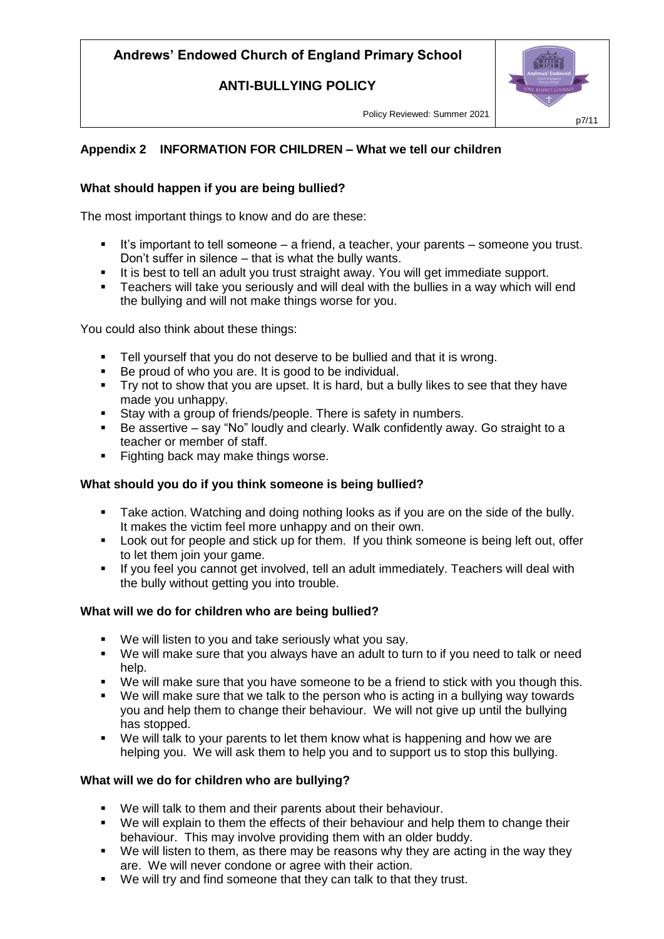**ANTI-BULLYING POLICY**

Policy Reviewed: Summer 2021

### **Appendix 2 INFORMATION FOR CHILDREN – What we tell our children**

#### **What should happen if you are being bullied?**

The most important things to know and do are these:

- It's important to tell someone a friend, a teacher, your parents someone you trust. Don't suffer in silence – that is what the bully wants.
- It is best to tell an adult you trust straight away. You will get immediate support.
- **Teachers will take you seriously and will deal with the bullies in a way which will end** the bullying and will not make things worse for you.

You could also think about these things:

- Tell yourself that you do not deserve to be bullied and that it is wrong.
- Be proud of who you are. It is good to be individual.
- $\blacksquare$  Try not to show that you are upset. It is hard, but a bully likes to see that they have made you unhappy.
- Stay with a group of friends/people. There is safety in numbers.
- Be assertive say "No" loudly and clearly. Walk confidently away. Go straight to a teacher or member of staff.
- Fighting back may make things worse.

#### **What should you do if you think someone is being bullied?**

- Take action. Watching and doing nothing looks as if you are on the side of the bully. It makes the victim feel more unhappy and on their own.
- Look out for people and stick up for them. If you think someone is being left out, offer to let them join your game.
- If you feel you cannot get involved, tell an adult immediately. Teachers will deal with the bully without getting you into trouble.

#### **What will we do for children who are being bullied?**

- We will listen to you and take seriously what you say.
- We will make sure that you always have an adult to turn to if you need to talk or need help.
- We will make sure that you have someone to be a friend to stick with you though this.
- We will make sure that we talk to the person who is acting in a bullying way towards you and help them to change their behaviour. We will not give up until the bullying has stopped.
- We will talk to your parents to let them know what is happening and how we are helping you. We will ask them to help you and to support us to stop this bullying.

#### **What will we do for children who are bullying?**

- We will talk to them and their parents about their behaviour.
- We will explain to them the effects of their behaviour and help them to change their behaviour. This may involve providing them with an older buddy.
- We will listen to them, as there may be reasons why they are acting in the way they are. We will never condone or agree with their action.
- We will try and find someone that they can talk to that they trust.

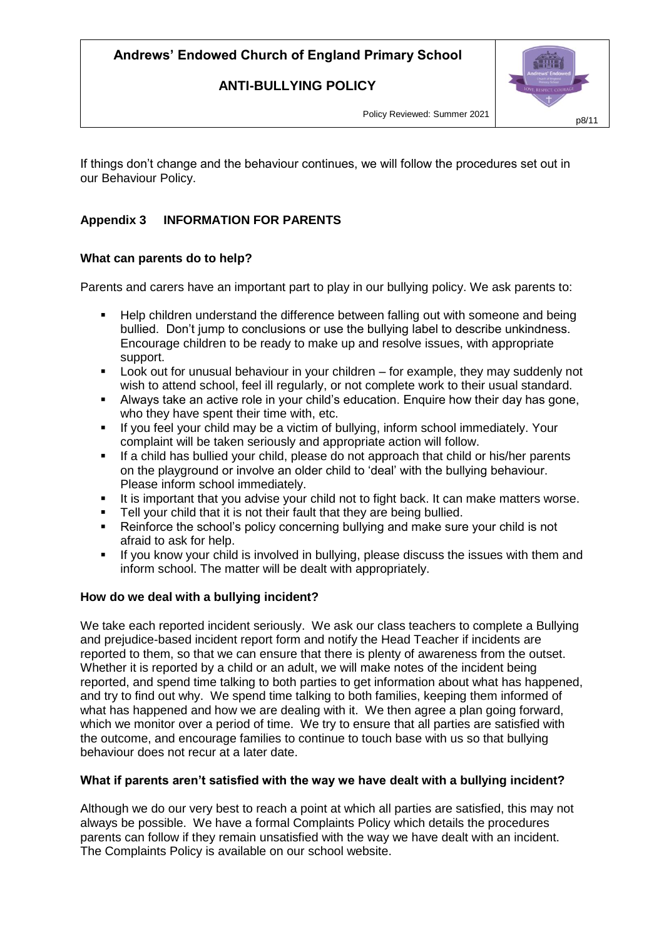**ANTI-BULLYING POLICY**



Policy Reviewed: Summer 2021

If things don't change and the behaviour continues, we will follow the procedures set out in our Behaviour Policy.

### **Appendix 3 INFORMATION FOR PARENTS**

### **What can parents do to help?**

Parents and carers have an important part to play in our bullying policy. We ask parents to:

- Help children understand the difference between falling out with someone and being bullied. Don't jump to conclusions or use the bullying label to describe unkindness. Encourage children to be ready to make up and resolve issues, with appropriate support.
- Look out for unusual behaviour in your children for example, they may suddenly not wish to attend school, feel ill regularly, or not complete work to their usual standard.
- Always take an active role in your child's education. Enquire how their day has gone, who they have spent their time with, etc.
- If you feel your child may be a victim of bullying, inform school immediately. Your complaint will be taken seriously and appropriate action will follow.
- If a child has bullied your child, please do not approach that child or his/her parents on the playground or involve an older child to 'deal' with the bullying behaviour. Please inform school immediately.
- It is important that you advise your child not to fight back. It can make matters worse.
- Tell your child that it is not their fault that they are being bullied.
- Reinforce the school's policy concerning bullying and make sure your child is not afraid to ask for help.
- If you know your child is involved in bullying, please discuss the issues with them and inform school. The matter will be dealt with appropriately.

### **How do we deal with a bullying incident?**

We take each reported incident seriously. We ask our class teachers to complete a Bullying and prejudice-based incident report form and notify the Head Teacher if incidents are reported to them, so that we can ensure that there is plenty of awareness from the outset. Whether it is reported by a child or an adult, we will make notes of the incident being reported, and spend time talking to both parties to get information about what has happened, and try to find out why. We spend time talking to both families, keeping them informed of what has happened and how we are dealing with it. We then agree a plan going forward, which we monitor over a period of time. We try to ensure that all parties are satisfied with the outcome, and encourage families to continue to touch base with us so that bullying behaviour does not recur at a later date.

#### **What if parents aren't satisfied with the way we have dealt with a bullying incident?**

Although we do our very best to reach a point at which all parties are satisfied, this may not always be possible. We have a formal Complaints Policy which details the procedures parents can follow if they remain unsatisfied with the way we have dealt with an incident. The Complaints Policy is available on our school website.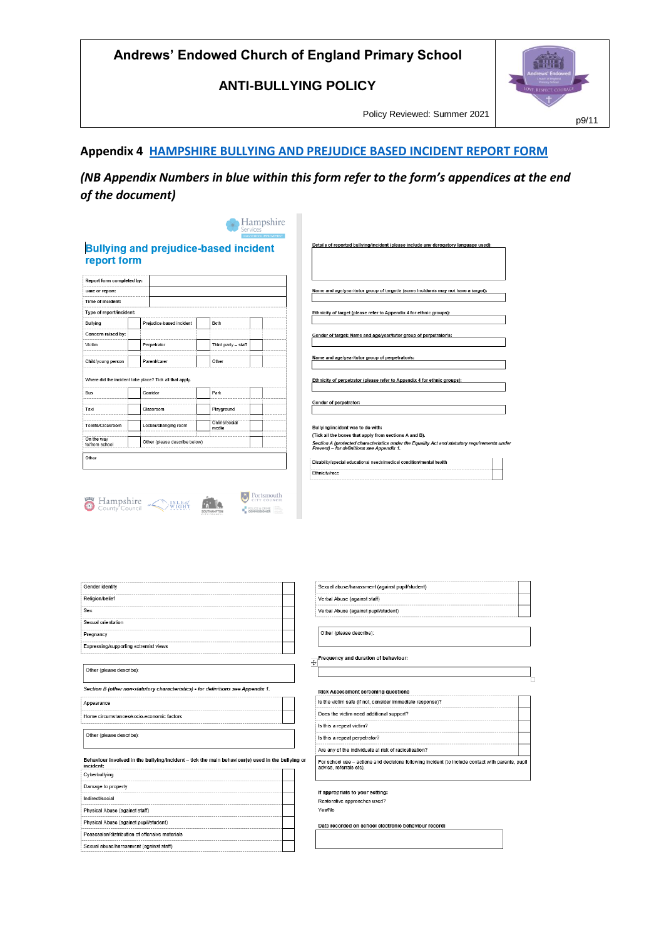**ANTI-BULLYING POLICY**

Policy Reviewed: Summer 2021

# **SHIP** p9/11

#### **Appendix 4 HAMPSHIRE [BULLYING AND PREJUDICE BASED INCIDENT REPORT FORM](file:///C:/Users/thoma/Downloads/Hampshire%20Bullying%20and%20Racist%20Incident%20Reporting%20Form.doc)**

*(NB Appendix Numbers in blue within this form refer to the form's appendices at the end of the document)*

|                              |                                                         | <b>HIAS SCHOOL IMPROVEMENT</b> | Hampshire                                                                                                                                                                                            |  |
|------------------------------|---------------------------------------------------------|--------------------------------|------------------------------------------------------------------------------------------------------------------------------------------------------------------------------------------------------|--|
| report form                  | <b>Bullying and prejudice-based incident</b>            |                                | Details of reported bullying/incident (please include any derogatory language used):                                                                                                                 |  |
| Report form completed by:    |                                                         |                                |                                                                                                                                                                                                      |  |
| Date of report:              |                                                         |                                | Name and age/year/tutor group of target/s (some incidents may not have a target):                                                                                                                    |  |
| Time of incident:            |                                                         |                                |                                                                                                                                                                                                      |  |
| Type of report/incident:     |                                                         |                                | Ethnicity of target (please refer to Appendix 4 for ethnic groups):                                                                                                                                  |  |
| Bullving                     | Prejudice-based incident                                | <b>Both</b>                    |                                                                                                                                                                                                      |  |
| Concern raised by:           |                                                         |                                | Gender of target: Name and age/year/tutor group of perpetrator/s:                                                                                                                                    |  |
| Victim                       | Perpetrator                                             | Third party - staff            |                                                                                                                                                                                                      |  |
| Child/young person           | Parent/carer                                            | Other                          | Name and age/year/tutor group of perpetrator/s:                                                                                                                                                      |  |
|                              | Where did the incident take place? Tick all that apply. |                                | Ethnicity of perpetrator (please refer to Appendix 4 for ethnic groups):                                                                                                                             |  |
| <b>Bus</b>                   | Corridor                                                | Park                           |                                                                                                                                                                                                      |  |
| Taxi                         | Classroom                                               | Playground                     | Gender of perpetrator:                                                                                                                                                                               |  |
| Toilets/Cloakroom            | Locker/changing room                                    | Online/social<br>media         | Bullying/incident was to do with:                                                                                                                                                                    |  |
| On the way<br>to/from school | Other (please describe below)                           |                                | (Tick all the boxes that apply from sections A and B).<br>Section A (protected characteristics under the Equality Act and statutory requirements under<br>Prevent) - for definitions see Appendix 1. |  |
| Other                        |                                                         |                                | Disability/special educational needs/medical condition/mental health                                                                                                                                 |  |
|                              |                                                         |                                | Ethnicity/race                                                                                                                                                                                       |  |

Portsmouth

e<sup>n</sup> co

| Gender identity                                                                                               |
|---------------------------------------------------------------------------------------------------------------|
| Religion/belief                                                                                               |
| Sex                                                                                                           |
| Sexual orientation                                                                                            |
| Pregnancy                                                                                                     |
| Expressing/supporting extremist views                                                                         |
|                                                                                                               |
| Other (please describe):                                                                                      |
| Section B (other non-statutory characteristics) - for definitions see Appendix 1.                             |
| Appearance                                                                                                    |
| Home circumstances/socio-economic factors                                                                     |
| Other (please describe):                                                                                      |
| Behaviour involved in the bullying/incident - tick the main behaviour(s) used in the bullying or<br>incident: |
| Cyberbullying                                                                                                 |
| Damage to property                                                                                            |
| Indirect/social                                                                                               |
| Physical Abuse (against staff)                                                                                |
| Physical Abuse (against pupil/student)                                                                        |
| Possession/distribution of offensive materials                                                                |
| Sexual abuse/harassment (against staff)                                                                       |
|                                                                                                               |

Hampshire Sunset Mary County Council

| Verbal Abuse (against staff)                                                                                                 |
|------------------------------------------------------------------------------------------------------------------------------|
| Verbal Abuse (against pupil/student)                                                                                         |
| Other (please describe):                                                                                                     |
| Frequency and duration of behaviour:                                                                                         |
| <b>Risk Assessment screening questions</b><br>Is the victim safe (if not, consider immediate response)?                      |
| Does the victim need additional support?                                                                                     |
| Is this a repeat victim?                                                                                                     |
| Is this a repeat perpetrator?                                                                                                |
| Are any of the individuals at risk of radicalisation?                                                                        |
| For school use - actions and decisions following incident (to include contact with parents, pupil<br>advice, referrals etc). |
| If appropriate to your setting:                                                                                              |
| Restorative approaches used?                                                                                                 |
| Yes/No                                                                                                                       |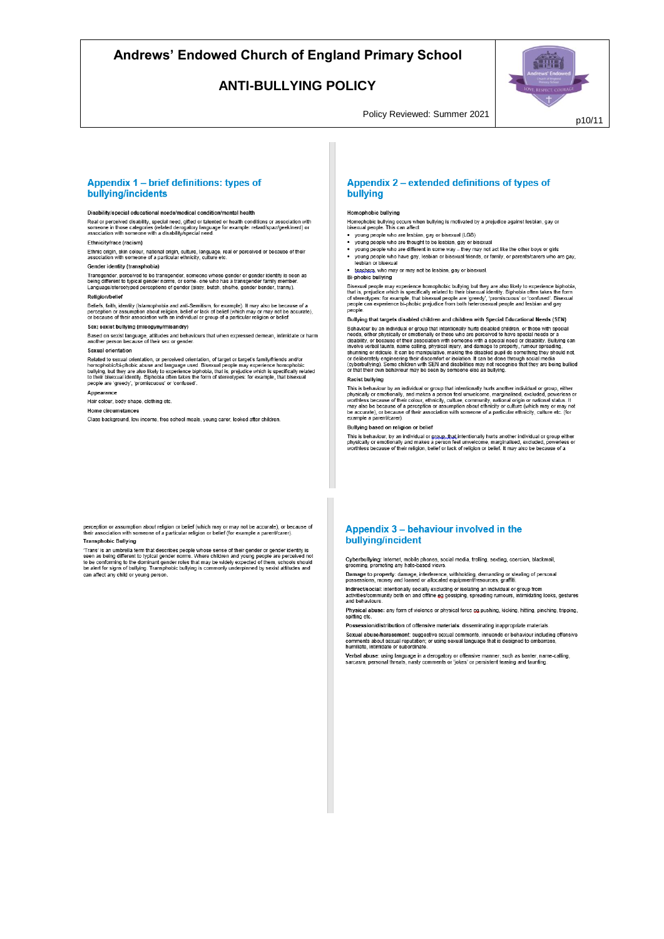#### **ANTI-BULLYING POLICY**



Policy Reviewed: Summer 2021

#### Appendix 1 - brief definitions: types of bullying/incidents

Disability/special educational needs/medical condition/mental health Real or perceived disability, special need, gifted or falented or health conditions or association with<br>someone in those categories (related derogatory language for example: retard/spaz/geek/nerd) or<br>association with someo

#### **Ethnicity/race (racism)**

Ethnic origin, skin colour, national origin, culture, language, real or perceived or because of their<br>association with someone of a particular ethnicity, culture etc.

Gender identity (transphobia)

University of the transpender, someone whose gender or gender identity is seen as<br>Transgender, perceived to be transgender, someone whose gender or gender identity is seen as<br>Language/stereotyped perceptions of gender (sis

#### Religion/belief

Beliefs, faith, identity (Islamophobia and anti-Semitism, for example). It may also be because of a<br>perception or assumption about religion, belief or lack of belief (which may or may not be accurate),<br>or because of their

#### Sex: sexist bullying (misogyny/misandry)

Based on sexist language, attitudes and behaviours that when expressed demean, intimidate or harm<br>another person because of their sex or gender.

#### Sexual orientation

Related to sexual orientation, or perceived orientation, of target or target's family/friends and/or<br>homophobic/bi-phobic abuse and language used. Bisexual people may experience homophobic<br>bullying, but they are also likel people are 'greedy', 'promiscuous' or 'confused'

#### Appearance

Hair colour, body shape, clothing etc.

#### Home circumstances

Class background, low income, free school meals, young carer, looked after children

#### Appendix 2 – extended definitions of types of bullving

#### **Homophobic bullying**

Homophobic bullying occurs when bullying is motivated by a prejudice against lesbian, gay or<br>bisexual people. This can affect:

- young people who are lesbian, gay or bisexual (LGB) voung people who are thought to be lesbian, gay or bisexual
- young people who are different in some way they may not act like the other boys or girls
- young people who have almost it in some way they may not act like the other boys of gins<br>young people who have gay, lesbian or bisexual friends, or family, or parents/carers who are gay,<br>lesbian or bisexual
- teachers, who may or may not be lesbian, gay or bisexual
- **Bi-phobic bullying**

Bisexual people may experience homophobic bullying but they are also likely to experience biphobia, that is, prejudice which is specifically related to their bisexual identity. Biphobia often takes the form of stereotypes:

Bullying that targets disabled children and children with Special Educational Needs (SEN) Builying that targets disabled chirdren and children with Special Educational Needs (SEN)<br>Behavior by an individual or group that intentionally hurts disabled children, or those with special<br>needs, either physically or emo

#### **Racist bullving**

This is behaviour by an individual or group that intentionally hurts another individual or group, either physically or emotionally, and makes a person feel unwelcome, marginalised, excluded, powerless or worthless because example a parent/carer)

#### Bullving based on religion or belief

This is behaviour, by an individual or group, that intentionally hurts another individual or group either when the state of the state of the word of the word of the controller intentional part of the controller of the cont

perception or assumption about religion or belief (which may or may not be accurate), or because of<br>their association with someone of a particular religion or belief (for example a parent/carer). **Transphobic Bullving** 

'Trans' is an umbrella term that describes people whose sense of their gender or gender identity is<br>seen as being different to typical gender norms. Where children and young people are perceived not to be conforming to the dominant gender roles that may be widely expected of them, schools should<br>be alert for signs of bullying. Transphobic bullying is commonly underpinned by sexist attitudes and<br>be alert for signs of b nools should can affect any child or young person

#### Appendix 3 - behaviour involved in the bullying/incident

Cyberbullying: Internet, mobile phones, social media, trolling, sexting, coercion, blackmail,<br>grooming, promoting any hate-based views.

Damage to property: damage, interference, withholding, demanding or stealing of personal<br>possessions, money and loaned or allocated equipment/resources, graffiti.

Indirect/social: intentionally socially excluding or isolating an individual or group from<br>activities/community both on and offline eg gossiping, spreading rumours, intimidating looks, gestures<br>and behaviours.

of thysical abuse: any form of violence or physical force eg pushing, kicking, hitting, pinching, tripping,<br>spitting etc.

Possession/distribution of offensive materials: disseminating inappropriate materials

Sexual abuse/harassment: suggestive sexual comments, innuendo or behaviour including offensive<br>comments about sexual reputation; or using sexual language that is designed to embarrass,<br>humiliate, intimidate or subordinate.

Verbal abuse: using language in a derogatory or offensive manner, such as banter, name-calling, sarcasm, personal threats, nasty comments or 'iokes' or persistent teasing and taunting